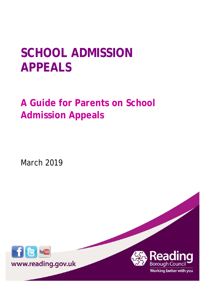# **SCHOOL ADMISSION APPEALS**

**A Guide for Parents on School Admission Appeals**

March 2019



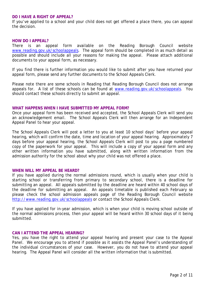## **DO I HAVE A RIGHT OF APPEAL?**

If you've applied to a school and your child does not get offered a place there, you can appeal the decision.

#### **HOW DO I APPEAL?**

There is an appeal form available on the Reading Borough Council website [www.reading.gov.uk/schoolappeals.](http://www.reading.gov.uk/schoolappeals) The appeal form should be completed in as much detail as possible and should include all your reasons for making the appeal. Please attach additional documents to your appeal form, as necessary.

If you find there is further information you would like to submit after you have returned your appeal form, please send any further documents to the School Appeals Clerk.

Please note there are some schools in Reading that Reading Borough Council does not arrange appeals for. A list of these schools can be found at [www.reading.gov.uk/schoolappeals.](http://www.reading.gov.uk/schoolappeals) You should contact these schools directly to submit an appeal.

#### **WHAT HAPPENS WHEN I HAVE SUBMITTED MY APPEAL FORM?**

Once your appeal form has been received and accepted, the School Appeals Clerk will send you an acknowledgement email. The School Appeals Clerk will then arrange for an Independent Appeal Panel to hear your appeal.

The School Appeals Clerk will post a letter to you at least 10 school days' before your appeal hearing, which will confirm the date, time and location of your appeal hearing. Approximately 7 days before your appeal hearing, the School Appeals Clerk will post to you a page numbered copy of the paperwork for your appeal. This will include a copy of your appeal form and any other written information you have submitted, along with written information from the admission authority for the school about why your child was not offered a place.

## **WHEN WILL MY APPEAL BE HEARD?**

If you have applied during the normal admissions round, which is usually when your child is starting school or transferring from primary to secondary school, there is a deadline for submitting an appeal. All appeals submitted by the deadline are heard within 40 school days of the deadline for submitting an appeal. An appeals timetable is published each February so please check the school admission appeals page of the Reading Borough Council website <http://www.reading.gov.uk/schoolappeals> or contact the School Appeals Clerk.

If you have applied for in-year admission, which is when your child is moving school outside of the normal admissions process, then your appeal will be heard within 30 school days of it being submitted.

## **CAN I ATTEND THE APPEAL HEARING?**

Yes, you have the right to attend your appeal hearing and present your case to the Appeal Panel. We encourage you to attend if possible as it assists the Appeal Panel's understanding of the individual circumstances of your case. However, you do not have to attend your appeal hearing. The Appeal Panel will consider all the written information that is submitted.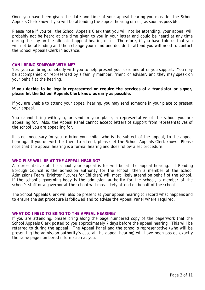Once you have been given the date and time of your appeal hearing you must let the School Appeals Clerk know if you will be attending the appeal hearing or not, as soon as possible.

Please note if you tell the School Appeals Clerk that you will not be attending, your appeal will probably not be heard at the time given to you in your letter and could be heard at any time during the day on the allocated appeal hearing date. Therefore, if you have told us that you will not be attending and then change your mind and decide to attend you will need to contact the School Appeals Clerk in advance.

## **CAN I BRING SOMEONE WITH ME?**

Yes, you can bring somebody with you to help present your case and offer you support. You may be accompanied or represented by a family member, friend or adviser, and they may speak on your behalf at the hearing.

**If you decide to be legally represented or require the services of a translator or signer, please let the School Appeals Clerk know as early as possible.**

If you are unable to attend your appeal hearing, you may send someone in your place to present your appeal.

You cannot bring with you, or send in your place, a representative of the school you are appealing for. Also, the Appeal Panel cannot accept letters of support from representatives of the school you are appealing for.

It is not necessary for you to bring your child, who is the subject of the appeal, to the appeal hearing. If you do wish for them to attend, please let the School Appeals Clerk know. Please note that the appeal hearing is a formal hearing and does follow a set procedure.

## **WHO ELSE WILL BE AT THE APPEAL HEARING?**

A representative of the school your appeal is for will be at the appeal hearing. If Reading Borough Council is the admission authority for the school, then a member of the School Admissions Team (Brighter Futures for Children) will most likely attend on behalf of the school. If the school's governing body is the admission authority for the school, a member of the school's staff or a governor at the school will most likely attend on behalf of the school.

The School Appeals Clerk will also be present at your appeal hearing to record what happens and to ensure the set procedure is followed and to advise the Appeal Panel where required.

## **WHAT DO I NEED TO BRING TO THE APPEAL HEARING?**

If you are attending, please bring along the page numbered copy of the paperwork that the School Appeals Clerk posted to you approximately 7 days before the appeal hearing. This will be referred to during the appeal. The Appeal Panel and the school's representative (who will be presenting the admission authority's case at the appeal hearing) will have been posted exactly the same page numbered information as you.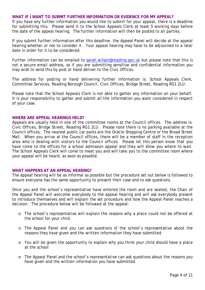## **WHAT IF I WANT TO SUBMIT FURTHER INFORMATION OR EVIDENCE FOR MY APPEAL?**

If you have any further information you would like to submit for your appeal, there is a deadline for submitting this. Please send it to the School Appeals Clerk at least 5 working days before the date of the appeal hearing. The further information will then be posted to all parties.

If you submit further information after this deadline, the Appeal Panel will decide at the appeal hearing whether or not to consider it. Your appeal hearing may have to be adjourned to a later date in order for it to be considered.

Further information can be emailed to [sarah.wilson@reading.gov.uk](mailto:sarah.wilson@reading.gov.uk) but please note that this is not a secure email address, so if you are submitting sensitive and confidential information you may wish to send this by post or hand deliver to the Civic Offices.

The address for posting or hand delivering further information is: School Appeals Clerk, Committee Services, Reading Borough Council, Civic Offices, Bridge Street, Reading RG1 2LU.

Please note that the School Appeals Clerk is not able to gather any information on your behalf. It is your responsibility to gather and submit all the information you want considered in respect of your case.

## **WHERE ARE APPEAL HEARINGS HELD?**

Appeals are usually held in one of the committee rooms at the Council offices. The address is: Civic Offices, Bridge Street, Reading RG1 2LU. Please note there is no parking available at the Council offices. The nearest public car parks are the Oracle Shopping Centre or the Broad Street Mall. When you arrive at the Council offices, there will be a member of staff in the reception area who is dealing with visitors to the Council offices. Please let this person know that you have come to the offices for a school admission appeal and they will show you where to wait. The School Appeals Clerk will come to meet you and will take you to the committee room where your appeal will be heard, as soon as possible.

## **WHAT HAPPENS AT AN APPEAL HEARING?**

The appeal hearing will be as informal as possible but the procedure set out below is followed to ensure everyone has the same opportunity to present their case and to ask questions.

Once you and the school's representative have entered the room and are seated, the Chair of the Appeal Panel will welcome everybody to the appeal hearing and will ask everybody present to introduce themselves and will explain the set procedure and how the Appeal Panel reaches a decision. The procedure below will be followed at the appeal:

- o The school's representative will explain the reasons why a place could not be offered at the school for your child
- o The Appeal Panel and you can ask questions of the school's representative about the reasons they have given and the written information they have submitted
- o You will be given the opportunity to explain why you think your child should have a place at the school
- o The Appeal Panel and the school's representative can ask questions about the reasons you have given and the written information you have submitted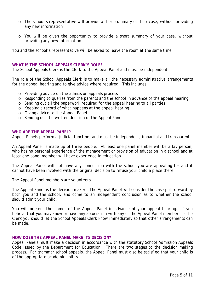- o The school's representative will provide a short summary of their case, without providing any new information
- o You will be given the opportunity to provide a short summary of your case, without providing any new information

You and the school's representative will be asked to leave the room at the same time.

## **WHAT IS THE SCHOOL APPEALS CLERK'S ROLE?**

The School Appeals Clerk is the Clerk to the Appeal Panel and must be independent.

The role of the School Appeals Clerk is to make all the necessary administrative arrangements for the appeal hearing and to give advice where required. This includes:

- o Providing advice on the admission appeals process
- o Responding to queries from the parents and the school in advance of the appeal hearing
- o Sending out all the paperwork required for the appeal hearing to all parties
- o Keeping a record of what happens at the appeal hearing
- o Giving advice to the Appeal Panel
- o Sending out the written decision of the Appeal Panel

#### **WHO ARE THE APPEAL PANEL?**

Appeal Panels perform a judicial function, and must be independent, impartial and transparent.

An Appeal Panel is made up of three people. At least one panel member will be a lay person, who has no personal experience of the management or provision of education in a school and at least one panel member will have experience in education.

The Appeal Panel will not have any connection with the school you are appealing for and it cannot have been involved with the original decision to refuse your child a place there.

The Appeal Panel members are volunteers.

The Appeal Panel is the decision maker. The Appeal Panel will consider the case put forward by both you and the school, and come to an independent conclusion as to whether the school should admit your child.

You will be sent the names of the Appeal Panel in advance of your appeal hearing. If you believe that you may know or have any association with any of the Appeal Panel members or the Clerk you should let the School Appeals Clerk know immediately so that other arrangements can be made.

## **HOW DOES THE APPEAL PANEL MAKE ITS DECISION?**

Appeal Panels must make a decision in accordance with the statutory School Admission Appeals Code issued by the Department for Education. There are two stages to the decision making process. For grammar school appeals, the Appeal Panel must also be satisfied that your child is of the appropriate academic ability.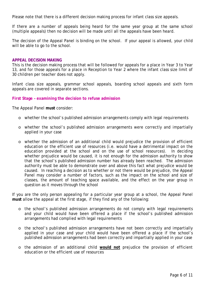Please note that there is a different decision making process for infant class size appeals.

If there are a number of appeals being heard for the same year group at the same school (multiple appeals) then no decision will be made until all the appeals have been heard.

The decision of the Appeal Panel is binding on the school. If your appeal is allowed, your child will be able to go to the school.

## **APPEAL DECISION MAKING**

This is the decision making process that will be followed for appeals for a place in Year 3 to Year 13, and for those appeals for a place in Reception to Year 2 where the infant class size limit of 30 children per teacher does not apply.

Infant class size appeals, grammar school appeals, boarding school appeals and sixth form appeals are covered in separate sections.

# **First Stage – examining the decision to refuse admission**

The Appeal Panel **must** consider:

- o whether the school's published admission arrangements comply with legal requirements
- o whether the school's published admission arrangements were correctly and impartially applied in your case
- o whether the admission of an additional child would prejudice the provision of efficient education or the efficient use of resources (i.e. would have a detrimental impact on the education provided at the school and on the use of school resources). In deciding whether prejudice would be caused, it is not enough for the admission authority to show that the school's published admission number has already been reached. The admission authority must be able to demonstrate over and above this fact what prejudice would be caused. In reaching a decision as to whether or not there would be prejudice, the Appeal Panel may consider a number of factors, such as the impact on the school and size of classes, the amount of teaching space available, and the effect on the year group in question as it moves through the school

If you are the only person appealing for a particular year group at a school, the Appeal Panel **must** allow the appeal at the first stage, if they find any of the following:

- o the school's published admission arrangements do not comply with legal requirements and your child would have been offered a place if the school's published admission arrangements had complied with legal requirements
- o the school's published admission arrangements have not been correctly and impartially applied in your case and your child would have been offered a place if the school's published admission arrangements had been correctly and impartially applied in your case
- o the admission of an additional child **would not** prejudice the provision of efficient education or the efficient use of resources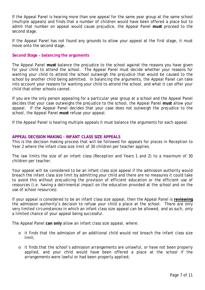If the Appeal Panel is hearing more than one appeal for the same year group at the same school (multiple appeals) and finds that a number of children would have been offered a place but to admit that number on appeal would cause prejudice, the Appeal Panel **must** proceed to the second stage.

If the Appeal Panel has not found any grounds to allow your appeal at the first stage, it must move onto the second stage.

# **Second Stage – balancing the arguments**

The Appeal Panel **must** balance the prejudice to the school against the reasons you have given for your child to attend the school. The Appeal Panel must decide whether your reasons for wanting your child to attend the school outweigh the prejudice that would be caused to the school by another child being admitted. In balancing the arguments, the Appeal Panel can take into account your reasons for wanting your child to attend the school, and what it can offer your child that other schools cannot.

If you are the only person appealing for a particular year group at a school and the Appeal Panel decides that your case outweighs the prejudice to the school, the Appeal Panel **must** allow your appeal. If the Appeal Panel decides that your case does not outweigh the prejudice to the school, the Appeal Panel **must** refuse your appeal.

If the Appeal Panel is hearing multiple appeals it must balance the arguments for each appeal.

# **APPEAL DECISION MAKING - INFANT CLASS SIZE APPEALS**

This is the decision making process that will be followed for appeals for places in Reception to Year 2 where the infant class size limit of 30 children per teacher applies.

The law limits the size of an infant class (Reception and Years 1 and 2) to a maximum of 30 children per teacher.

Your appeal will be considered to be an infant class size appeal if the admission authority would breach the infant class size limit by admitting your child and there are no measures it could take to avoid this without prejudicing the provision of efficient education or the efficient use of resources (i.e. having a detrimental impact on the education provided at the school and on the use of school resources).

If your appeal is considered to be an infant class size appeal, then the Appeal Panel is **reviewing** the admission authority's decision to refuse your child a place at the school. There are only very limited circumstances in which an infant class size appeal can be allowed, and as such, only a limited chance of your appeal being successful.

The Appeal Panel **can only** allow an infant class size appeal, where:

- o it finds that the admission of an additional child would not breach the infant class size limit;
- o it finds that the school's admission arrangements are unlawful, or have not been properly applied, and your child would have been offered a place at the school if the arrangements were lawful or had been properly applied;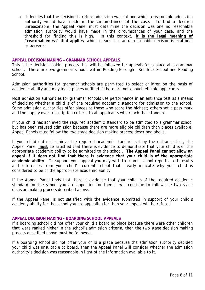o it decides that the decision to refuse admission was not one which a reasonable admission<br>authority would have made in the circumstances of the case. To find a decision authority would have made in the circumstances of the case. unreasonable, the Appeal Panel must determine the decision was one no reasonable admission authority would have made in the circumstances of your case, and the threshold for finding this is high. In this context, **it is the legal meaning of "reasonableness" that applies**, which means that an unreasonable decision is irrational or perverse.

## **APPEAL DECISION MAKING – GRAMMAR SCHOOL APPEALS**

This is the decision making process that will be followed for appeals for a place at a grammar school. There are two grammar schools within Reading Borough - Kendrick School and Reading School.

Admission authorities for grammar schools are permitted to select children on the basis of academic ability and may leave places unfilled if there are not enough eligible applicants.

Most admission authorities for grammar schools use performance in an entrance test as a means of deciding whether a child is of the required academic standard for admission to the school. Some admission authorities offer places to those who score the highest; others set a pass mark and then apply over subscription criteria to all applicants who reach that standard.

If your child has achieved the required academic standard to be admitted to a grammar school but has been refused admission because there are more eligible children than places available, Appeal Panels must follow the two stage decision making process described above.

If your child did not achieve the required academic standard set by the entrance test, the Appeal Panel **must** be satisfied that there is evidence to demonstrate that your child is of the appropriate academic ability to be admitted to the school. **The Appeal Panel cannot allow an appeal if it does not find that there is evidence that your child is of the appropriate academic ability**. To support your appeal you may wish to submit school reports, test results and references from your child's current school that clearly indicate why your child is considered to be of the appropriate academic ability.

If the Appeal Panel finds that there is evidence that your child is of the required academic standard for the school you are appealing for then it will continue to follow the two stage decision making process described above.

If the Appeal Panel is not satisfied with the evidence submitted in support of your child's academy ability for the school you are appealing for then your appeal will be refused.

## **APPEAL DECISION MAKING - BOARDING SCHOOL APPEALS**

If a boarding school did not offer your child a boarding place because there were other children that were ranked higher in the school's admission criteria, then the two stage decision making process described above must be followed.

If a boarding school did not offer your child a place because the admission authority decided your child was unsuitable to board, then the Appeal Panel will consider whether the admission authority's decision was reasonable in light of the information available to it.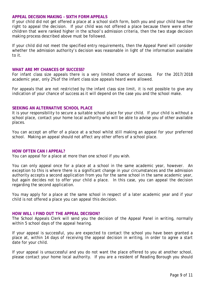## **APPEAL DECISION MAKING – SIXTH FORM APPEALS**

If your child did not get offered a place at a school sixth form, both you and your child have the right to appeal the decision. If your child was not offered a place because there were other children that were ranked higher in the school's admission criteria, then the two stage decision making process described above must be followed.

If your child did not meet the specified entry requirements, then the Appeal Panel will consider whether the admission authority's decision was reasonable in light of the information available to it.

#### **WHAT ARE MY CHANCES OF SUCCESS?**

For infant class size appeals there is a very limited chance of success. For the 2017/2018 academic year, only 2% of the infant class size appeals heard were allowed.

For appeals that are not restricted by the infant class size limit, it is not possible to give any indication of your chance of success as it will depend on the case you and the school make.

## **SEEKING AN ALTERNATIVE SCHOOL PLACE**

It is your responsibility to secure a suitable school place for your child. If your child is without a school place, contact your home local authority who will be able to advise you of other available places.

You can accept an offer of a place at a school whilst still making an appeal for your preferred school. Making an appeal should not affect any other offers of a school place.

#### **HOW OFTEN CAN I APPEAL?**

You can appeal for a place at more than one school if you wish.

You can only appeal once for a place at a school in the same academic year, however. An exception to this is where there is a significant change in your circumstances and the admission authority accepts a second application from you for the same school in the same academic year, but again decides not to offer your child a place. In this case, you can appeal the decision regarding the second application.

You may apply for a place at the same school in respect of a later academic year and if your child is not offered a place you can appeal this decision.

## **HOW WILL I FIND OUT THE APPEAL DECISION?**

The School Appeals Clerk will send you the decision of the Appeal Panel in writing, normally within 5 school days of the appeal hearing.

If your appeal is successful, you are expected to contact the school you have been granted a place at, within 14 days of receiving the appeal decision in writing, in order to agree a start date for your child.

If your appeal is unsuccessful and you do not want the place offered to you at another school, please contact your home local authority. If you are a resident of Reading Borough you should